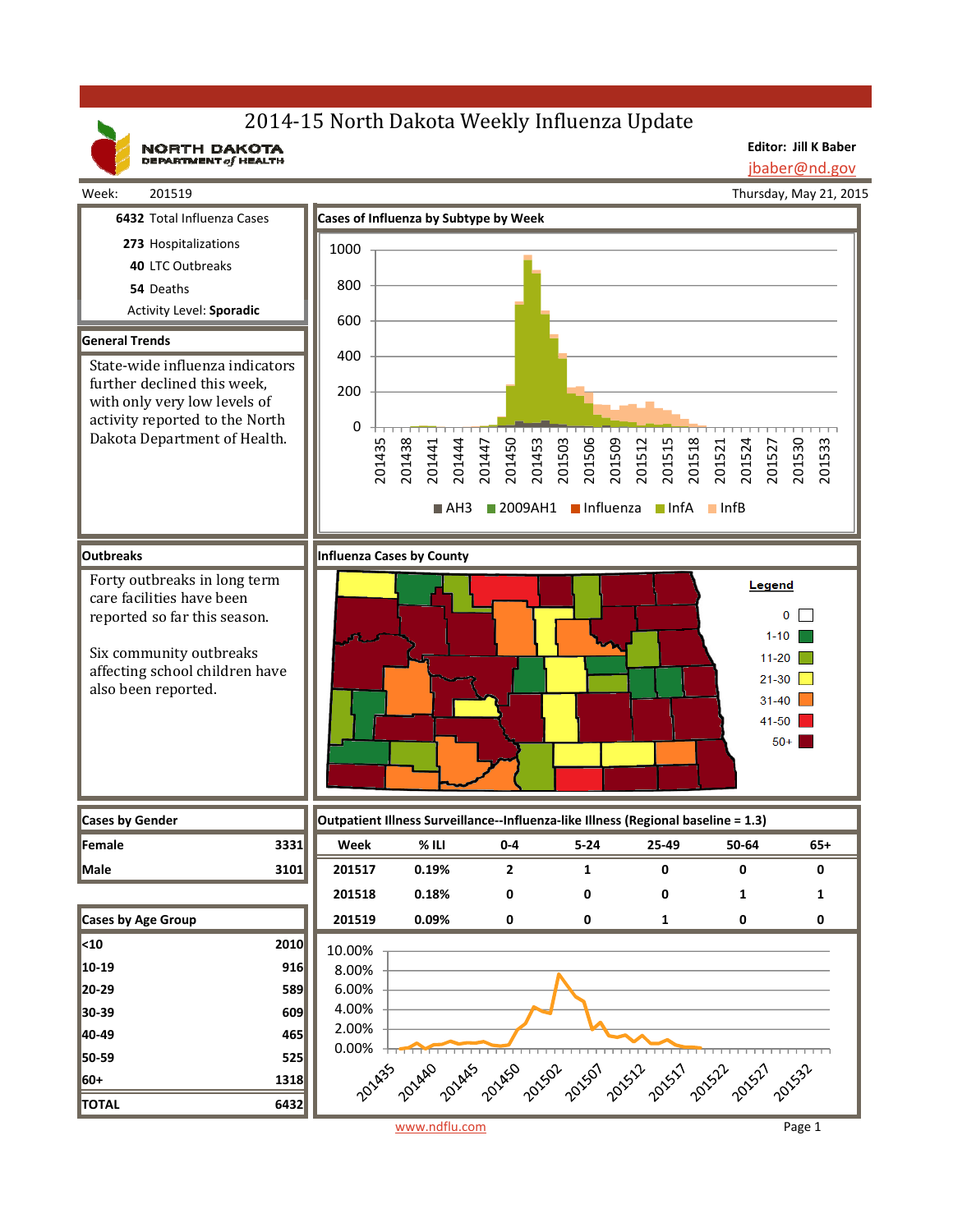# 2014-15 North Dakota Weekly Influenza Update

NORTH DAKOTA

**Editor: Jill K Baber** jbaber@nd.gov

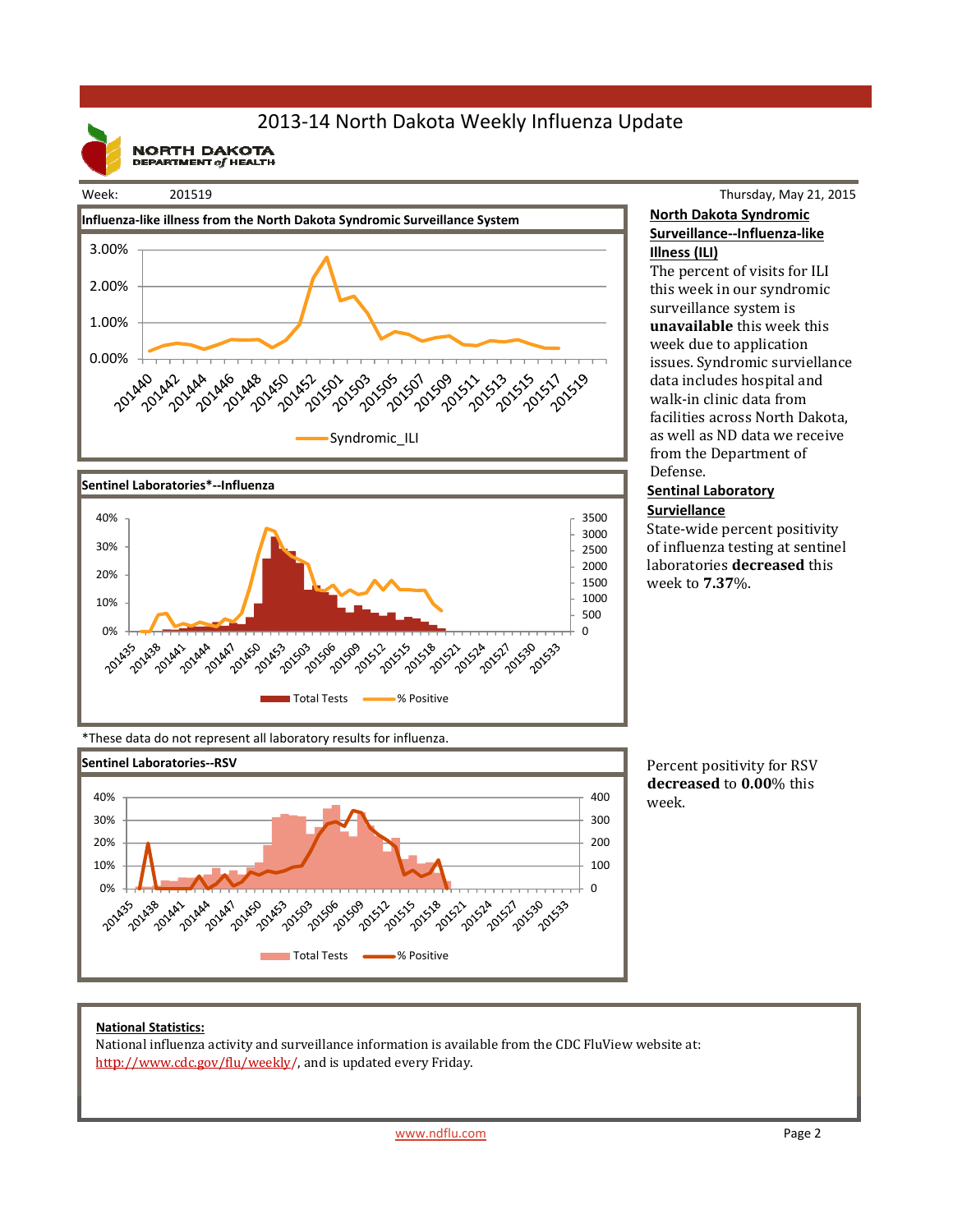## 2013‐14 North Dakota Weekly Influenza Update

**NORTH DAKOTA**<br>DEPARTMENT of HEALTH

#### Week: 201519





### Thursday, May 21, 2015 **North Dakota Syndromic Surveillance‐‐Influenza‐like Illness (ILI)**

The percent of visits for ILI this week in our syndromic surveillance system is **unavailable** this week this week due to application issues. Syndromic surviellance data includes hospital and walk-in clinic data from facilities across North Dakota, as well as ND data we receive from the Department of Defense. 

### **Sentinal Laboratory Surviellance**

State-wide percent positivity of influenza testing at sentinel laboratories **decreased** this week to **7.37**%. 

\*These data do not represent all laboratory results for influenza.



Percent positivity for RSV **decreased** to **0.00**% this week.

#### **National Statistics:**

National influenza activity and surveillance information is available from the CDC FluView website at: http://www.cdc.gov/flu/weekly/, and is updated every Friday.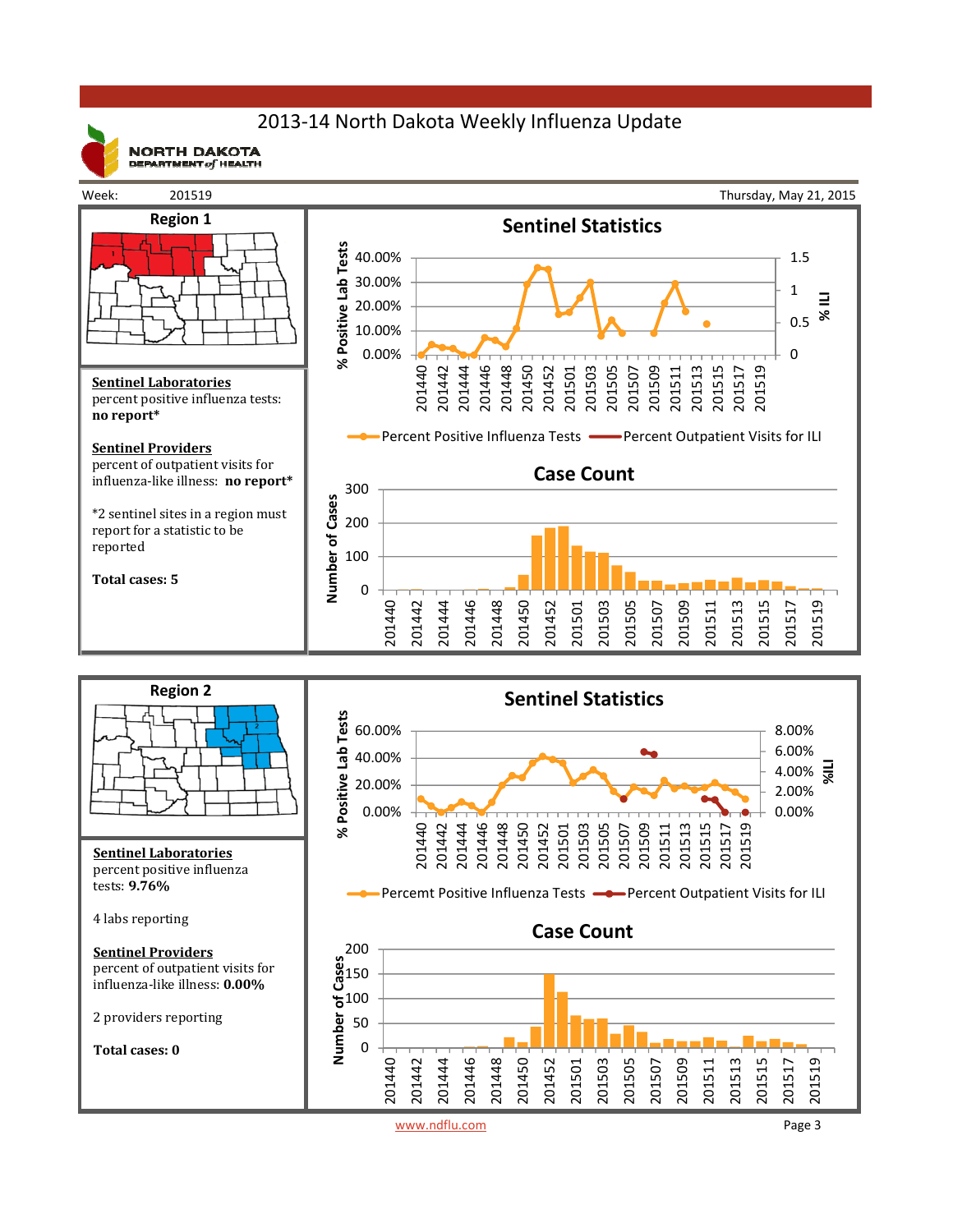## 2013‐14 North Dakota Weekly Influenza Update



**NORTH DAKOTA** DEPARTMENT  $of$  HEALTH